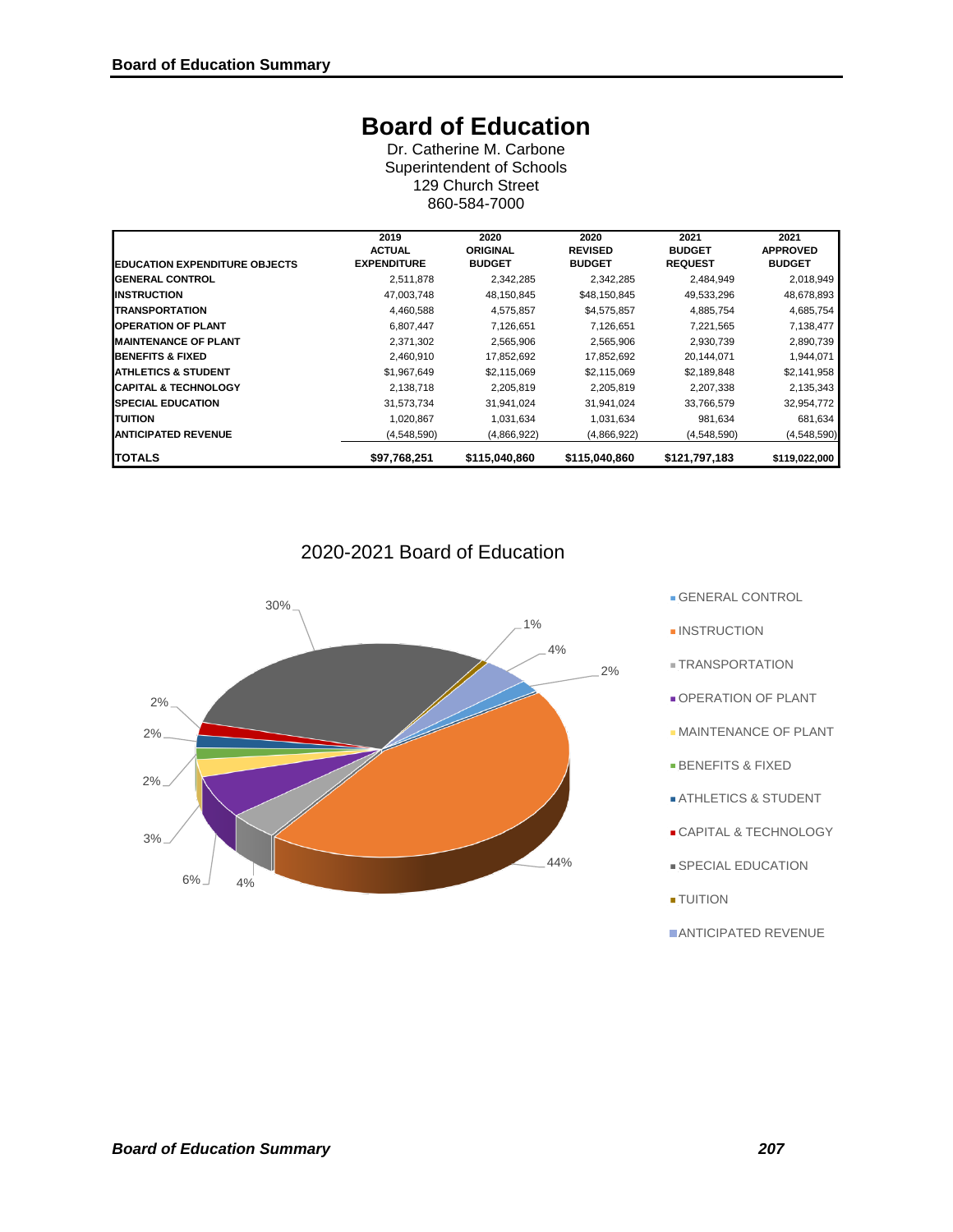# **Board of Education**

Dr. Catherine M. Carbone Superintendent of Schools 129 Church Street 860-584-7000

|                                      | 2019<br><b>ACTUAL</b> | 2020<br><b>ORIGINAL</b> | 2020<br><b>REVISED</b> | 2021<br><b>BUDGET</b> | 2021<br><b>APPROVED</b> |
|--------------------------------------|-----------------------|-------------------------|------------------------|-----------------------|-------------------------|
| <b>EDUCATION EXPENDITURE OBJECTS</b> | <b>EXPENDITURE</b>    | <b>BUDGET</b>           | <b>BUDGET</b>          | <b>REQUEST</b>        | <b>BUDGET</b>           |
| <b>IGENERAL CONTROL</b>              | 2,511,878             | 2,342,285               | 2,342,285              | 2,484,949             | 2,018,949               |
| <b>IINSTRUCTION</b>                  | 47,003,748            | 48,150,845              | \$48,150,845           | 49,533,296            | 48,678,893              |
| <b>TRANSPORTATION</b>                | 4,460,588             | 4,575,857               | \$4,575,857            | 4,885,754             | 4,685,754               |
| <b>IOPERATION OF PLANT</b>           | 6,807,447             | 7,126,651               | 7,126,651              | 7,221,565             | 7,138,477               |
| <b>MAINTENANCE OF PLANT</b>          | 2,371,302             | 2,565,906               | 2,565,906              | 2,930,739             | 2,890,739               |
| <b>IBENEFITS &amp; FIXED</b>         | 2,460,910             | 17,852,692              | 17,852,692             | 20,144,071            | 1,944,071               |
| <b>IATHLETICS &amp; STUDENT</b>      | \$1,967,649           | \$2,115,069             | \$2,115,069            | \$2,189,848           | \$2,141,958             |
| <b>CAPITAL &amp; TECHNOLOGY</b>      | 2,138,718             | 2,205,819               | 2,205,819              | 2,207,338             | 2,135,343               |
| <b>ISPECIAL EDUCATION</b>            | 31,573,734            | 31,941,024              | 31,941,024             | 33,766,579            | 32,954,772              |
| <b>TUITION</b>                       | 1,020,867             | 1,031,634               | 1,031,634              | 981,634               | 681,634                 |
| <b>IANTICIPATED REVENUE</b>          | (4,548,590)           | (4,866,922)             | (4,866,922)            | (4,548,590)           | (4,548,590)             |
| <b>TOTALS</b>                        | \$97,768,251          | \$115,040,860           | \$115,040,860          | \$121,797,183         | \$119,022,000           |

# 2020-2021 Board of Education



GENERAL CONTROL

- **INSTRUCTION**
- **E TRANSPORTATION**
- **OPERATION OF PLANT**
- **MAINTENANCE OF PLANT**
- BENEFITS & FIXED
- **ATHLETICS & STUDENT**
- CAPITAL & TECHNOLOGY
- **SPECIAL EDUCATION**
- TUITION
- **ANTICIPATED REVENUE**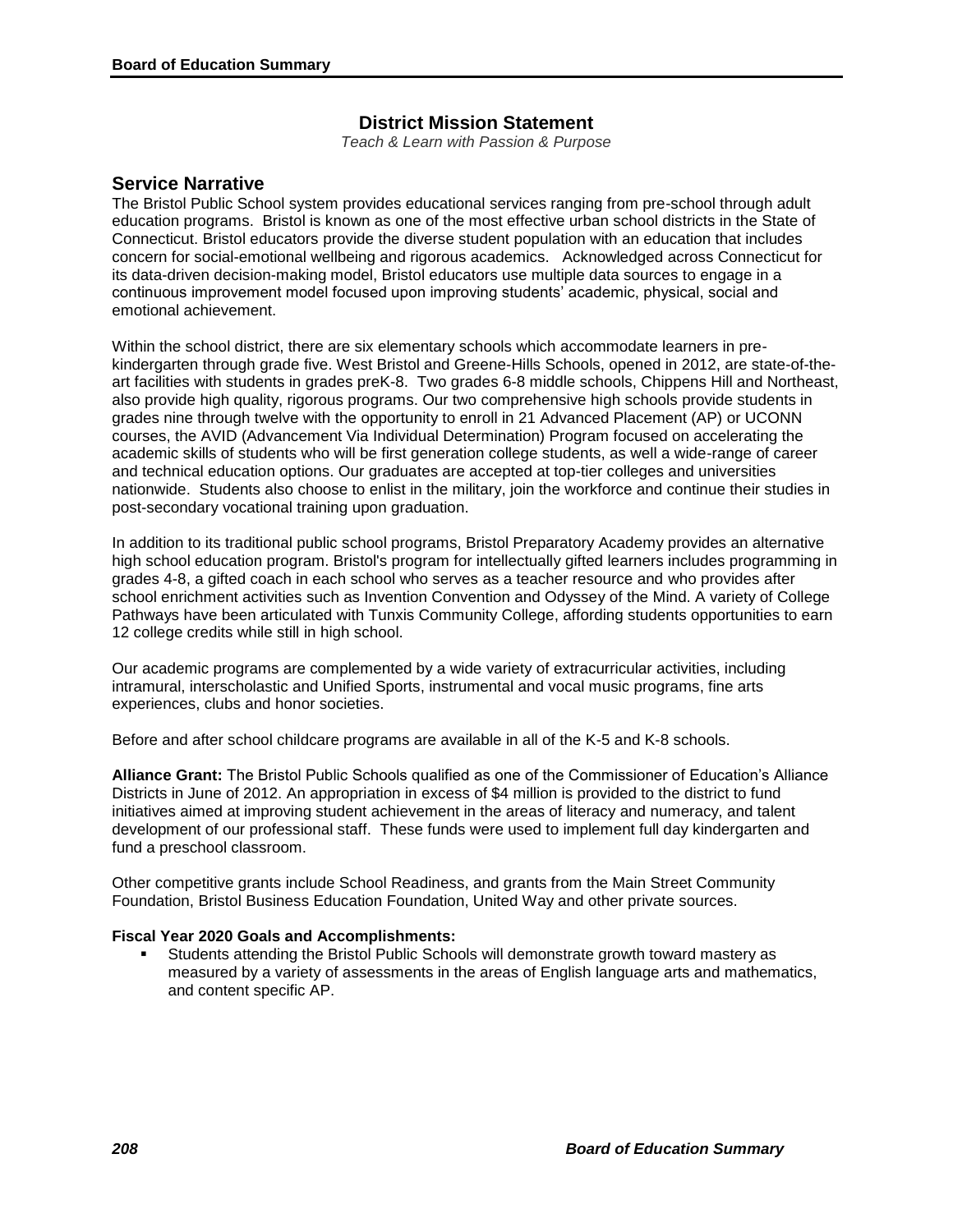# **District Mission Statement**

*Teach & Learn with Passion & Purpose*

# **Service Narrative**

The Bristol Public School system provides educational services ranging from pre-school through adult education programs. Bristol is known as one of the most effective urban school districts in the State of Connecticut. Bristol educators provide the diverse student population with an education that includes concern for social-emotional wellbeing and rigorous academics. Acknowledged across Connecticut for its data-driven decision-making model, Bristol educators use multiple data sources to engage in a continuous improvement model focused upon improving students' academic, physical, social and emotional achievement.

Within the school district, there are six elementary schools which accommodate learners in prekindergarten through grade five. West Bristol and Greene-Hills Schools, opened in 2012, are state-of-theart facilities with students in grades preK-8. Two grades 6-8 middle schools, Chippens Hill and Northeast, also provide high quality, rigorous programs. Our two comprehensive high schools provide students in grades nine through twelve with the opportunity to enroll in 21 Advanced Placement (AP) or UCONN courses, the AVID (Advancement Via Individual Determination) Program focused on accelerating the academic skills of students who will be first generation college students, as well a wide-range of career and technical education options. Our graduates are accepted at top-tier colleges and universities nationwide. Students also choose to enlist in the military, join the workforce and continue their studies in post-secondary vocational training upon graduation.

In addition to its traditional public school programs, Bristol Preparatory Academy provides an alternative high school education program. Bristol's program for intellectually gifted learners includes programming in grades 4-8, a gifted coach in each school who serves as a teacher resource and who provides after school enrichment activities such as Invention Convention and Odyssey of the Mind. A variety of College Pathways have been articulated with Tunxis Community College, affording students opportunities to earn 12 college credits while still in high school.

Our academic programs are complemented by a wide variety of extracurricular activities, including intramural, interscholastic and Unified Sports, instrumental and vocal music programs, fine arts experiences, clubs and honor societies.

Before and after school childcare programs are available in all of the K-5 and K-8 schools.

**Alliance Grant:** The Bristol Public Schools qualified as one of the Commissioner of Education's Alliance Districts in June of 2012. An appropriation in excess of \$4 million is provided to the district to fund initiatives aimed at improving student achievement in the areas of literacy and numeracy, and talent development of our professional staff. These funds were used to implement full day kindergarten and fund a preschool classroom.

Other competitive grants include School Readiness, and grants from the Main Street Community Foundation, Bristol Business Education Foundation, United Way and other private sources.

## **Fiscal Year 2020 Goals and Accomplishments:**

 Students attending the Bristol Public Schools will demonstrate growth toward mastery as measured by a variety of assessments in the areas of English language arts and mathematics, and content specific AP.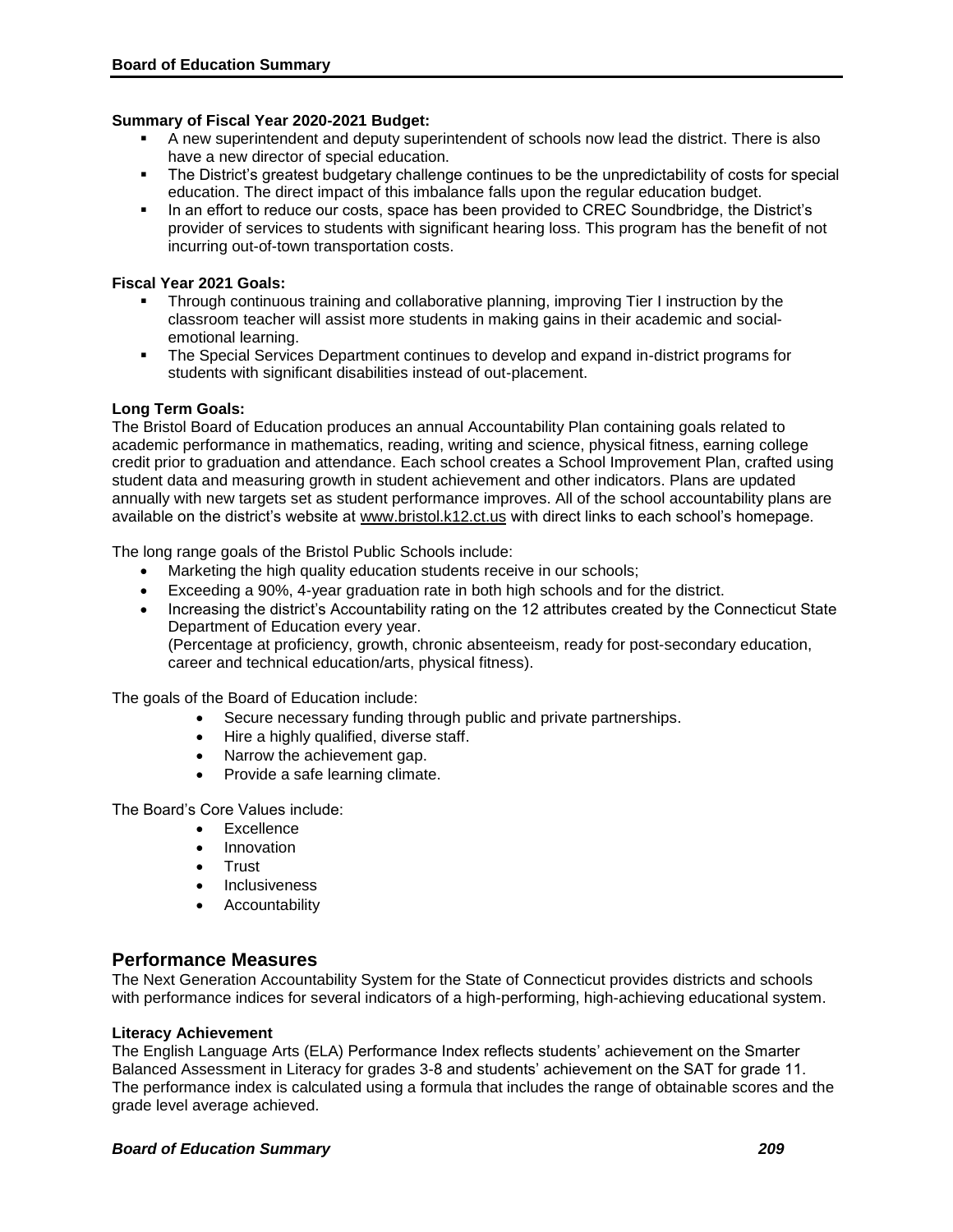#### **Summary of Fiscal Year 2020-2021 Budget:**

- A new superintendent and deputy superintendent of schools now lead the district. There is also have a new director of special education.
- The District's greatest budgetary challenge continues to be the unpredictability of costs for special education. The direct impact of this imbalance falls upon the regular education budget.
- In an effort to reduce our costs, space has been provided to CREC Soundbridge, the District's provider of services to students with significant hearing loss. This program has the benefit of not incurring out-of-town transportation costs.

#### **Fiscal Year 2021 Goals:**

- Through continuous training and collaborative planning, improving Tier I instruction by the classroom teacher will assist more students in making gains in their academic and socialemotional learning.
- **The Special Services Department continues to develop and expand in-district programs for** students with significant disabilities instead of out-placement.

#### **Long Term Goals:**

The Bristol Board of Education produces an annual Accountability Plan containing goals related to academic performance in mathematics, reading, writing and science, physical fitness, earning college credit prior to graduation and attendance. Each school creates a School Improvement Plan, crafted using student data and measuring growth in student achievement and other indicators. Plans are updated annually with new targets set as student performance improves. All of the school accountability plans are available on the district's website at www.bristol.k12.ct.us with direct links to each school's homepage.

The long range goals of the Bristol Public Schools include:

- Marketing the high quality education students receive in our schools;
- Exceeding a 90%, 4-year graduation rate in both high schools and for the district.
- Increasing the district's Accountability rating on the 12 attributes created by the Connecticut State Department of Education every year. (Percentage at proficiency, growth, chronic absenteeism, ready for post-secondary education, career and technical education/arts, physical fitness).

The goals of the Board of Education include:

- Secure necessary funding through public and private partnerships.
- Hire a highly qualified, diverse staff.
- Narrow the achievement gap.
- Provide a safe learning climate.

The Board's Core Values include:

- **Excellence**
- Innovation
- Trust
- **Inclusiveness**
- **•** Accountability

# **Performance Measures**

The Next Generation Accountability System for the State of Connecticut provides districts and schools with performance indices for several indicators of a high-performing, high-achieving educational system.

#### **Literacy Achievement**

The English Language Arts (ELA) Performance Index reflects students' achievement on the Smarter Balanced Assessment in Literacy for grades 3-8 and students' achievement on the SAT for grade 11. The performance index is calculated using a formula that includes the range of obtainable scores and the grade level average achieved.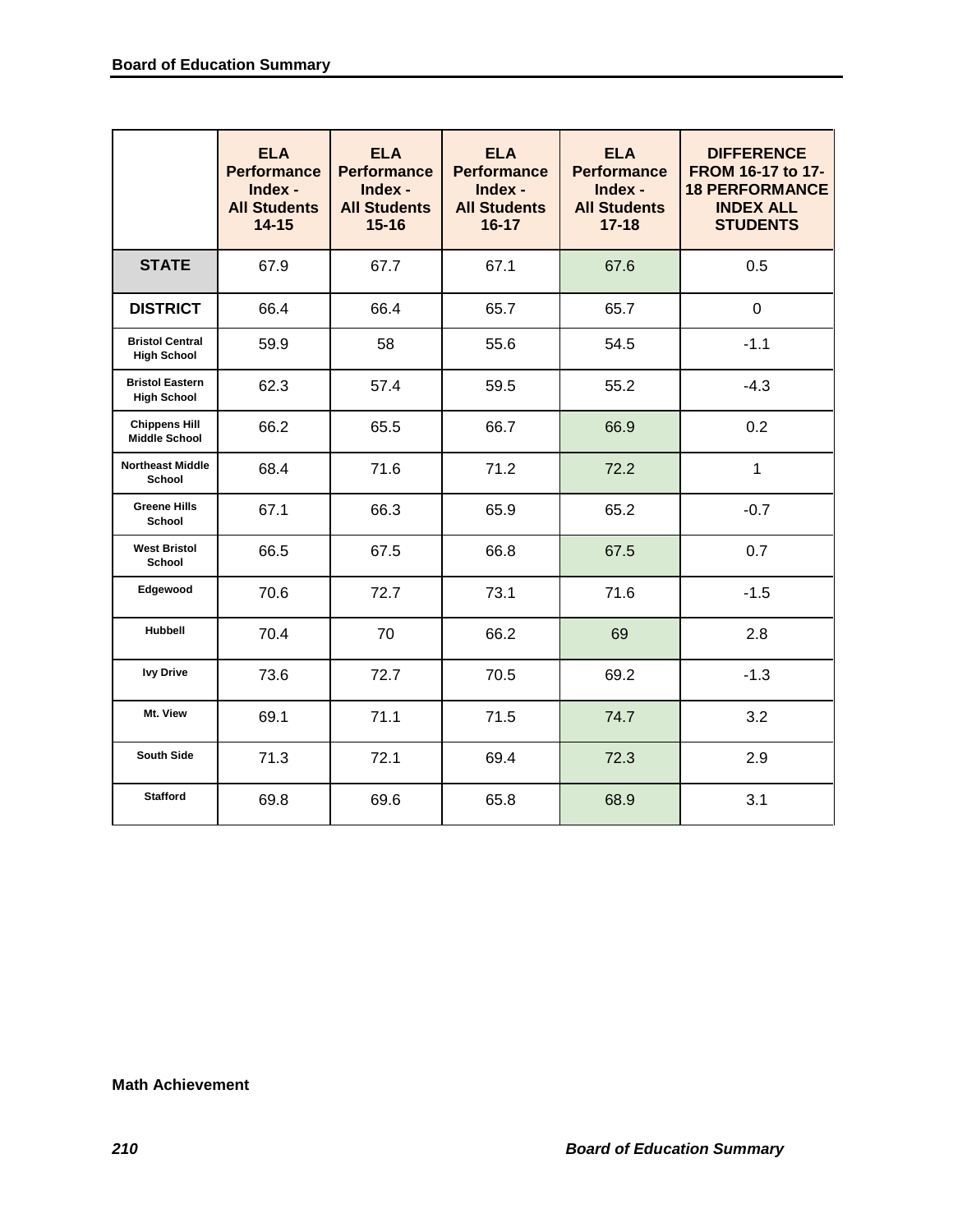|                                              | <b>ELA</b><br><b>Performance</b><br>Index -<br><b>All Students</b><br>$14 - 15$ | <b>ELA</b><br><b>Performance</b><br>Index -<br><b>All Students</b><br>$15 - 16$ | <b>ELA</b><br><b>Performance</b><br>Index -<br><b>All Students</b><br>$16 - 17$ | <b>ELA</b><br><b>Performance</b><br>Index -<br><b>All Students</b><br>$17 - 18$ | <b>DIFFERENCE</b><br>FROM 16-17 to 17-<br><b>18 PERFORMANCE</b><br><b>INDEX ALL</b><br><b>STUDENTS</b> |
|----------------------------------------------|---------------------------------------------------------------------------------|---------------------------------------------------------------------------------|---------------------------------------------------------------------------------|---------------------------------------------------------------------------------|--------------------------------------------------------------------------------------------------------|
| <b>STATE</b>                                 | 67.9                                                                            | 67.7                                                                            | 67.1                                                                            | 67.6                                                                            | 0.5                                                                                                    |
| <b>DISTRICT</b>                              | 66.4                                                                            | 66.4                                                                            | 65.7                                                                            | 65.7                                                                            | 0                                                                                                      |
| <b>Bristol Central</b><br><b>High School</b> | 59.9                                                                            | 58                                                                              | 55.6                                                                            | 54.5                                                                            | $-1.1$                                                                                                 |
| <b>Bristol Eastern</b><br><b>High School</b> | 62.3                                                                            | 57.4                                                                            | 59.5                                                                            | 55.2                                                                            | $-4.3$                                                                                                 |
| <b>Chippens Hill</b><br><b>Middle School</b> | 66.2                                                                            | 65.5                                                                            | 66.7                                                                            | 66.9                                                                            | 0.2                                                                                                    |
| <b>Northeast Middle</b><br>School            | 68.4                                                                            | 71.6                                                                            | 71.2                                                                            | 72.2                                                                            | $\mathbf{1}$                                                                                           |
| <b>Greene Hills</b><br><b>School</b>         | 67.1                                                                            | 66.3                                                                            | 65.9                                                                            | 65.2                                                                            | $-0.7$                                                                                                 |
| <b>West Bristol</b><br><b>School</b>         | 66.5                                                                            | 67.5                                                                            | 66.8                                                                            | 67.5                                                                            | 0.7                                                                                                    |
| Edgewood                                     | 70.6                                                                            | 72.7                                                                            | 73.1                                                                            | 71.6                                                                            | $-1.5$                                                                                                 |
| Hubbell                                      | 70.4                                                                            | 70                                                                              | 66.2                                                                            | 69                                                                              | 2.8                                                                                                    |
| <b>Ivy Drive</b>                             | 73.6                                                                            | 72.7                                                                            | 70.5                                                                            | 69.2                                                                            | $-1.3$                                                                                                 |
| Mt. View                                     | 69.1                                                                            | 71.1                                                                            | 71.5                                                                            | 74.7                                                                            | 3.2                                                                                                    |
| <b>South Side</b>                            | 71.3                                                                            | 72.1                                                                            | 69.4                                                                            | 72.3                                                                            | 2.9                                                                                                    |
| <b>Stafford</b>                              | 69.8                                                                            | 69.6                                                                            | 65.8                                                                            | 68.9                                                                            | 3.1                                                                                                    |

#### **Math Achievement**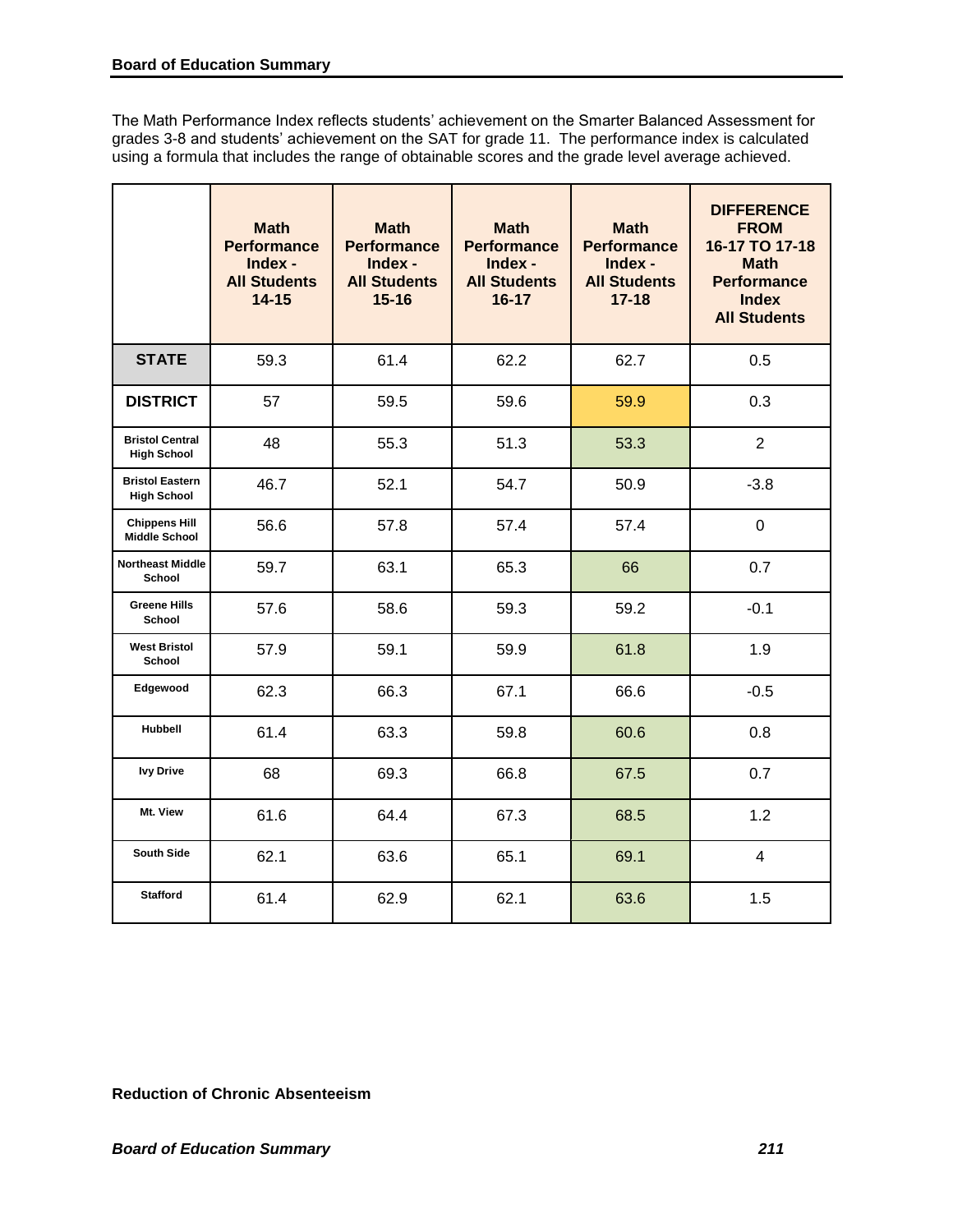The Math Performance Index reflects students' achievement on the Smarter Balanced Assessment for grades 3-8 and students' achievement on the SAT for grade 11. The performance index is calculated using a formula that includes the range of obtainable scores and the grade level average achieved.

|                                              | <b>Math</b><br><b>Performance</b><br>Index -<br><b>All Students</b><br>$14 - 15$ | <b>Math</b><br><b>Performance</b><br>Index -<br><b>All Students</b><br>$15 - 16$ | <b>Math</b><br><b>Performance</b><br>Index -<br><b>All Students</b><br>$16 - 17$ | <b>Math</b><br><b>Performance</b><br>Index -<br><b>All Students</b><br>$17 - 18$ | <b>DIFFERENCE</b><br><b>FROM</b><br>16-17 TO 17-18<br><b>Math</b><br><b>Performance</b><br><b>Index</b><br><b>All Students</b> |
|----------------------------------------------|----------------------------------------------------------------------------------|----------------------------------------------------------------------------------|----------------------------------------------------------------------------------|----------------------------------------------------------------------------------|--------------------------------------------------------------------------------------------------------------------------------|
| <b>STATE</b>                                 | 59.3                                                                             | 61.4                                                                             | 62.2                                                                             | 62.7                                                                             | 0.5                                                                                                                            |
| <b>DISTRICT</b>                              | 57                                                                               | 59.5                                                                             | 59.6                                                                             | 59.9                                                                             | 0.3                                                                                                                            |
| <b>Bristol Central</b><br><b>High School</b> | 48                                                                               | 55.3                                                                             | 51.3                                                                             | 53.3                                                                             | $\overline{2}$                                                                                                                 |
| <b>Bristol Eastern</b><br><b>High School</b> | 46.7                                                                             | 52.1                                                                             | 54.7                                                                             | 50.9                                                                             | $-3.8$                                                                                                                         |
| <b>Chippens Hill</b><br><b>Middle School</b> | 56.6                                                                             | 57.8                                                                             | 57.4                                                                             | 57.4                                                                             | $\overline{0}$                                                                                                                 |
| <b>Northeast Middle</b><br>School            | 59.7                                                                             | 63.1                                                                             | 65.3                                                                             | 66                                                                               | 0.7                                                                                                                            |
| <b>Greene Hills</b><br>School                | 57.6                                                                             | 58.6                                                                             | 59.3                                                                             | 59.2                                                                             | $-0.1$                                                                                                                         |
| <b>West Bristol</b><br>School                | 57.9                                                                             | 59.1                                                                             | 59.9                                                                             | 61.8                                                                             | 1.9                                                                                                                            |
| Edgewood                                     | 62.3                                                                             | 66.3                                                                             | 67.1                                                                             | 66.6                                                                             | $-0.5$                                                                                                                         |
| <b>Hubbell</b>                               | 61.4                                                                             | 63.3                                                                             | 59.8                                                                             | 60.6                                                                             | 0.8                                                                                                                            |
| <b>Ivy Drive</b>                             | 68                                                                               | 69.3                                                                             | 66.8                                                                             | 67.5                                                                             | 0.7                                                                                                                            |
| Mt. View                                     | 61.6                                                                             | 64.4                                                                             | 67.3                                                                             | 68.5                                                                             | 1.2                                                                                                                            |
| <b>South Side</b>                            | 62.1                                                                             | 63.6                                                                             | 65.1                                                                             | 69.1                                                                             | $\overline{4}$                                                                                                                 |
| <b>Stafford</b>                              | 61.4                                                                             | 62.9                                                                             | 62.1                                                                             | 63.6                                                                             | 1.5                                                                                                                            |

**Reduction of Chronic Absenteeism**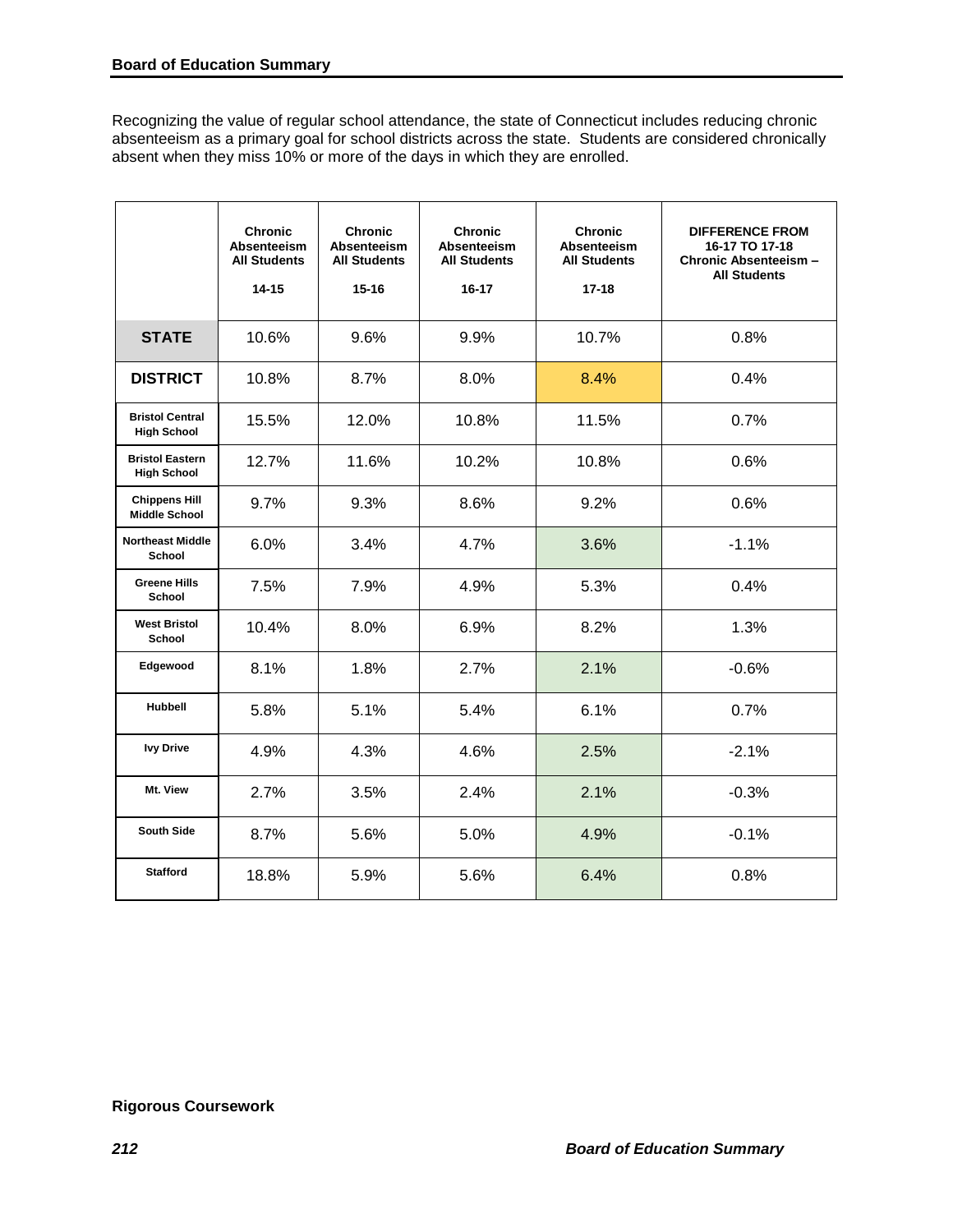Recognizing the value of regular school attendance, the state of Connecticut includes reducing chronic absenteeism as a primary goal for school districts across the state. Students are considered chronically absent when they miss 10% or more of the days in which they are enrolled.

|                                              | <b>Chronic</b><br><b>Absenteeism</b><br><b>All Students</b><br>$14 - 15$ | <b>Chronic</b><br><b>Absenteeism</b><br><b>All Students</b><br>$15 - 16$ | <b>Chronic</b><br><b>Absenteeism</b><br><b>All Students</b><br>16-17 | <b>Chronic</b><br><b>Absenteeism</b><br><b>All Students</b><br>$17 - 18$ | <b>DIFFERENCE FROM</b><br>16-17 TO 17-18<br>Chronic Absenteeism -<br><b>All Students</b> |
|----------------------------------------------|--------------------------------------------------------------------------|--------------------------------------------------------------------------|----------------------------------------------------------------------|--------------------------------------------------------------------------|------------------------------------------------------------------------------------------|
| <b>STATE</b>                                 | 10.6%                                                                    | 9.6%                                                                     | 9.9%                                                                 | 10.7%                                                                    | 0.8%                                                                                     |
| <b>DISTRICT</b>                              | 10.8%                                                                    | 8.7%                                                                     | 8.0%                                                                 | 8.4%                                                                     | 0.4%                                                                                     |
| <b>Bristol Central</b><br><b>High School</b> | 15.5%                                                                    | 12.0%                                                                    | 10.8%                                                                | 11.5%                                                                    | 0.7%                                                                                     |
| <b>Bristol Eastern</b><br><b>High School</b> | 12.7%                                                                    | 11.6%                                                                    | 10.2%                                                                | 10.8%                                                                    | 0.6%                                                                                     |
| <b>Chippens Hill</b><br><b>Middle School</b> | 9.7%                                                                     | 9.3%                                                                     | 8.6%                                                                 | 9.2%                                                                     | 0.6%                                                                                     |
| <b>Northeast Middle</b><br>School            | 6.0%                                                                     | 3.4%                                                                     | 4.7%                                                                 | 3.6%                                                                     | $-1.1%$                                                                                  |
| <b>Greene Hills</b><br><b>School</b>         | 7.5%                                                                     | 7.9%                                                                     | 4.9%                                                                 | 5.3%                                                                     | 0.4%                                                                                     |
| <b>West Bristol</b><br>School                | 10.4%                                                                    | 8.0%                                                                     | 6.9%                                                                 | 8.2%                                                                     | 1.3%                                                                                     |
| Edgewood                                     | 8.1%                                                                     | 1.8%                                                                     | 2.7%                                                                 | 2.1%                                                                     | $-0.6%$                                                                                  |
| <b>Hubbell</b>                               | 5.8%                                                                     | 5.1%                                                                     | 5.4%                                                                 | 6.1%                                                                     | 0.7%                                                                                     |
| <b>Ivy Drive</b>                             | 4.9%                                                                     | 4.3%                                                                     | 4.6%                                                                 | 2.5%                                                                     | $-2.1%$                                                                                  |
| Mt. View                                     | 2.7%                                                                     | 3.5%                                                                     | 2.4%                                                                 | 2.1%                                                                     | $-0.3%$                                                                                  |
| <b>South Side</b>                            | 8.7%                                                                     | 5.6%                                                                     | 5.0%                                                                 | 4.9%                                                                     | $-0.1%$                                                                                  |
| <b>Stafford</b>                              | 18.8%                                                                    | 5.9%                                                                     | 5.6%                                                                 | 6.4%                                                                     | 0.8%                                                                                     |

## **Rigorous Coursework**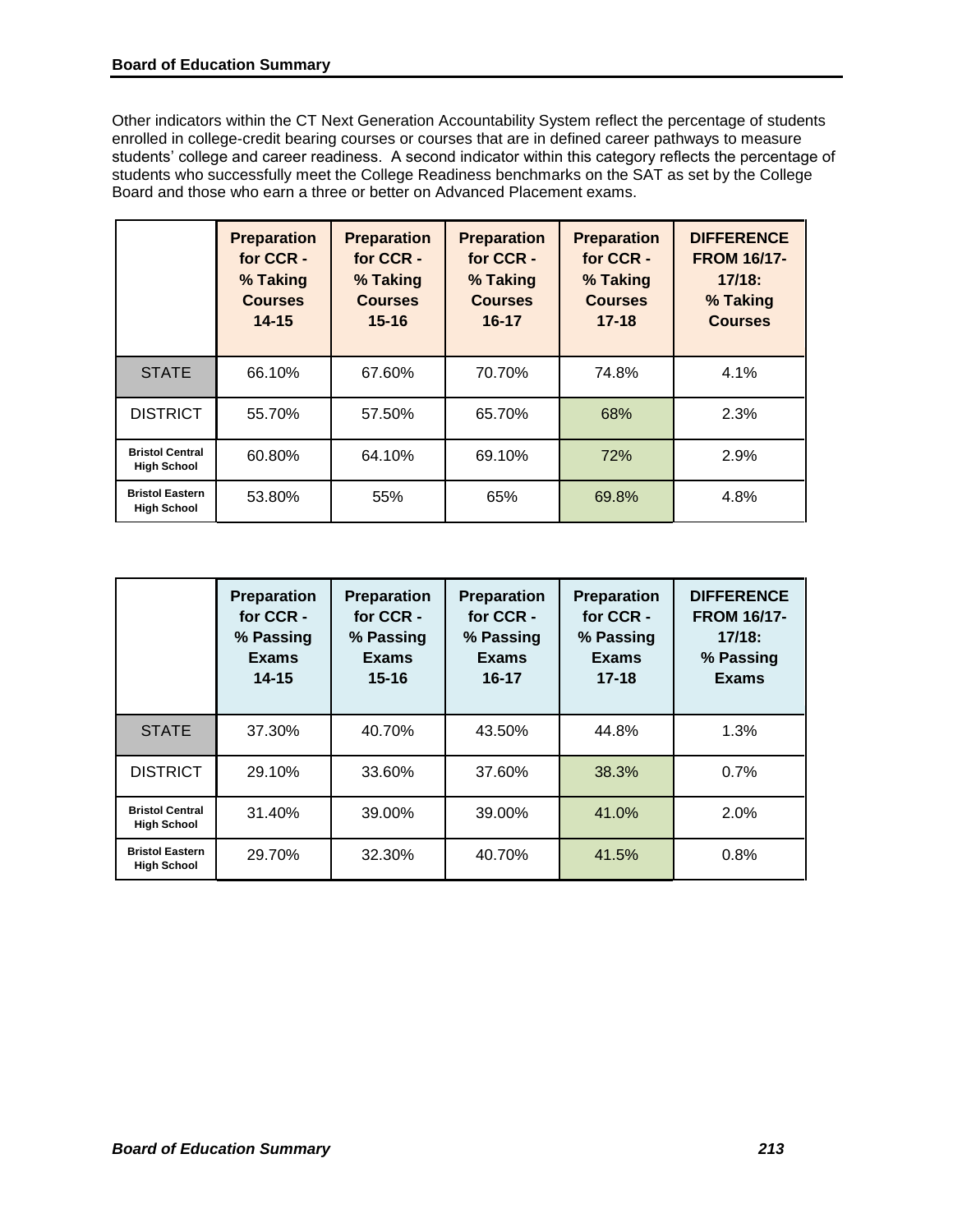Other indicators within the CT Next Generation Accountability System reflect the percentage of students enrolled in college-credit bearing courses or courses that are in defined career pathways to measure students' college and career readiness. A second indicator within this category reflects the percentage of students who successfully meet the College Readiness benchmarks on the SAT as set by the College Board and those who earn a three or better on Advanced Placement exams.

|                                              | <b>Preparation</b><br>for CCR -<br>% Taking<br><b>Courses</b><br>$14 - 15$ | <b>Preparation</b><br>for CCR -<br>% Taking<br><b>Courses</b><br>$15 - 16$ | <b>Preparation</b><br>for CCR -<br>% Taking<br><b>Courses</b><br>$16 - 17$ | <b>Preparation</b><br>for CCR -<br>% Taking<br><b>Courses</b><br>$17 - 18$ | <b>DIFFERENCE</b><br><b>FROM 16/17-</b><br>$17/18$ :<br>% Taking<br><b>Courses</b> |
|----------------------------------------------|----------------------------------------------------------------------------|----------------------------------------------------------------------------|----------------------------------------------------------------------------|----------------------------------------------------------------------------|------------------------------------------------------------------------------------|
| <b>STATE</b>                                 | 66.10%                                                                     | 67.60%                                                                     | 70.70%                                                                     | 74.8%                                                                      | 4.1%                                                                               |
| <b>DISTRICT</b>                              | 55.70%                                                                     | 57.50%                                                                     | 65.70%                                                                     | 68%                                                                        | 2.3%                                                                               |
| <b>Bristol Central</b><br><b>High School</b> | 60.80%                                                                     | 64.10%                                                                     | 69.10%                                                                     | 72%                                                                        | 2.9%                                                                               |
| <b>Bristol Eastern</b><br><b>High School</b> | 53.80%                                                                     | 55%                                                                        | 65%                                                                        | 69.8%                                                                      | 4.8%                                                                               |

|                                              | <b>Preparation</b><br>for CCR -<br>% Passing<br><b>Exams</b><br>$14 - 15$ | <b>Preparation</b><br>for CCR -<br>% Passing<br>Exams<br>15-16 | <b>Preparation</b><br>for CCR -<br>% Passing<br><b>Exams</b><br>$16 - 17$ | <b>Preparation</b><br>for CCR -<br>% Passing<br><b>Exams</b><br>$17 - 18$ | <b>DIFFERENCE</b><br><b>FROM 16/17-</b><br>$17/18$ :<br>% Passing<br><b>Exams</b> |
|----------------------------------------------|---------------------------------------------------------------------------|----------------------------------------------------------------|---------------------------------------------------------------------------|---------------------------------------------------------------------------|-----------------------------------------------------------------------------------|
| <b>STATE</b>                                 | 37.30%                                                                    | 40.70%                                                         | 43.50%                                                                    | 44.8%                                                                     | 1.3%                                                                              |
| <b>DISTRICT</b>                              | 29.10%                                                                    | 33.60%                                                         | 37.60%                                                                    | 38.3%                                                                     | 0.7%                                                                              |
| <b>Bristol Central</b><br><b>High School</b> | 31.40%                                                                    | 39.00%                                                         | 39.00%                                                                    | 41.0%                                                                     | 2.0%                                                                              |
| <b>Bristol Eastern</b><br><b>High School</b> | 29.70%                                                                    | 32.30%                                                         | 40.70%                                                                    | 41.5%                                                                     | 0.8%                                                                              |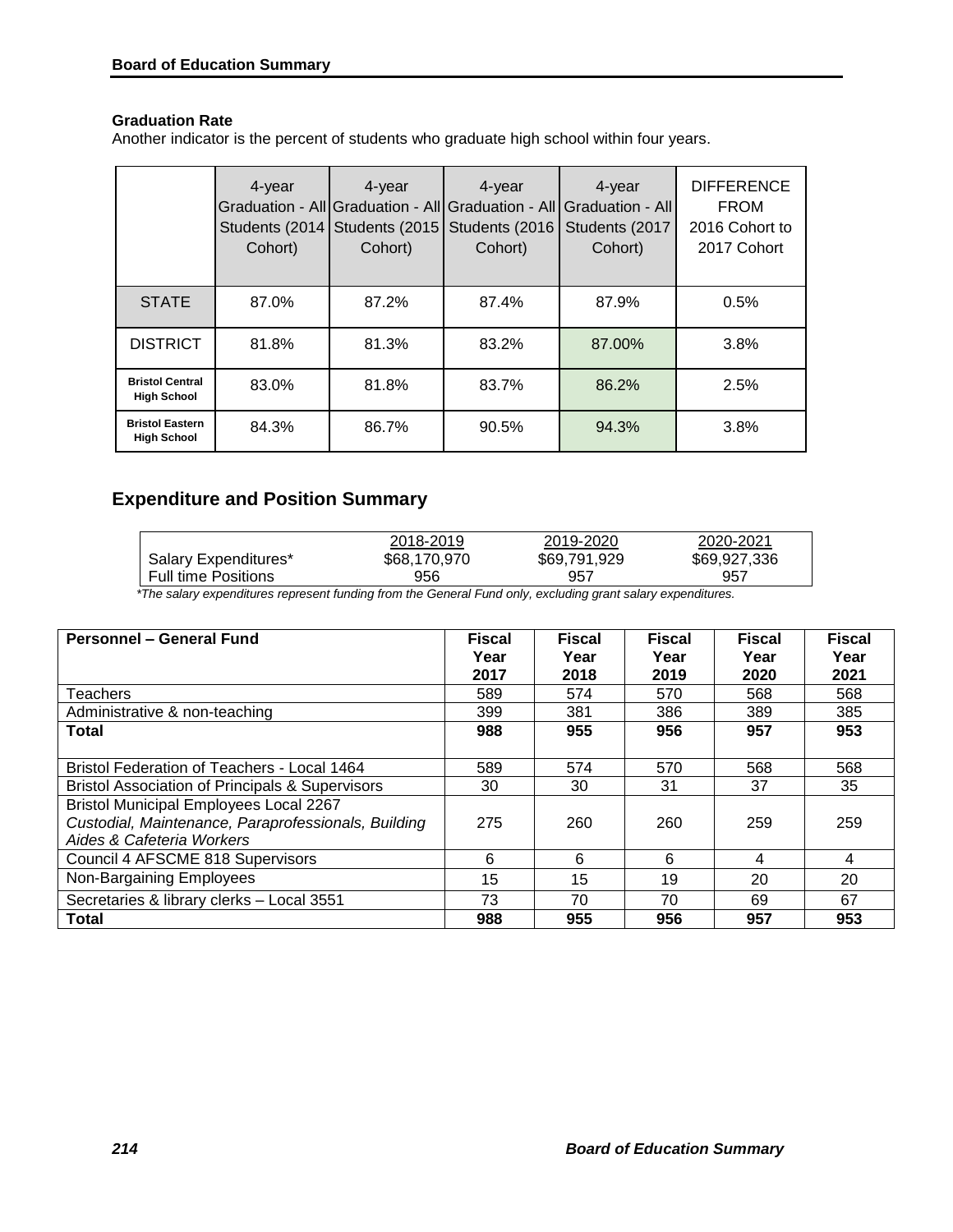# **Graduation Rate**

Another indicator is the percent of students who graduate high school within four years.

|                                              | 4-year<br>Cohort) | 4-year<br>Graduation - All Graduation - All<br>Students (2014   Students (2015)<br>Cohort) | 4-year<br>Graduation - All<br>Students (2016<br>Cohort) | 4-year<br>Graduation - All<br>Students (2017<br>Cohort) | <b>DIFFERENCE</b><br><b>FROM</b><br>2016 Cohort to<br>2017 Cohort |
|----------------------------------------------|-------------------|--------------------------------------------------------------------------------------------|---------------------------------------------------------|---------------------------------------------------------|-------------------------------------------------------------------|
| <b>STATE</b>                                 | 87.0%             | 87.2%                                                                                      | 87.4%                                                   | 87.9%                                                   | 0.5%                                                              |
| <b>DISTRICT</b>                              | 81.8%             | 81.3%                                                                                      | 83.2%                                                   | 87.00%                                                  | 3.8%                                                              |
| <b>Bristol Central</b><br><b>High School</b> | 83.0%             | 81.8%                                                                                      | 83.7%                                                   | 86.2%                                                   | 2.5%                                                              |
| <b>Bristol Eastern</b><br><b>High School</b> | 84.3%             | 86.7%                                                                                      | 90.5%                                                   | 94.3%                                                   | 3.8%                                                              |

# **Expenditure and Position Summary**

|                        | 2018-2019    | 2019-2020    | 2020-2021    |
|------------------------|--------------|--------------|--------------|
| Salary Expenditures*   | \$68,170,970 | \$69,791,929 | \$69,927,336 |
| I Full time Positions_ | 956          | 957          | 957          |

 *\*The salary expenditures represent funding from the General Fund only, excluding grant salary expenditures.* 

| Personnel - General Fund                                                                                                          | <b>Fiscal</b><br>Year<br>2017 | <b>Fiscal</b><br>Year<br>2018 | <b>Fiscal</b><br>Year<br>2019 | <b>Fiscal</b><br>Year<br>2020 | <b>Fiscal</b><br>Year<br>2021 |
|-----------------------------------------------------------------------------------------------------------------------------------|-------------------------------|-------------------------------|-------------------------------|-------------------------------|-------------------------------|
| <b>Teachers</b>                                                                                                                   | 589                           | 574                           | 570                           | 568                           | 568                           |
| Administrative & non-teaching                                                                                                     | 399                           | 381                           | 386                           | 389                           | 385                           |
| Total                                                                                                                             | 988                           | 955                           | 956                           | 957                           | 953                           |
| Bristol Federation of Teachers - Local 1464                                                                                       | 589                           | 574                           | 570                           | 568                           | 568                           |
| <b>Bristol Association of Principals &amp; Supervisors</b>                                                                        | 30                            | 30                            | 31                            | 37                            | 35                            |
| <b>Bristol Municipal Employees Local 2267</b><br>Custodial, Maintenance, Paraprofessionals, Building<br>Aides & Cafeteria Workers | 275                           | 260                           | 260                           | 259                           | 259                           |
| Council 4 AFSCME 818 Supervisors                                                                                                  | 6                             | 6                             | 6                             | 4                             | 4                             |
| Non-Bargaining Employees                                                                                                          | 15                            | 15                            | 19                            | 20                            | 20                            |
| Secretaries & library clerks - Local 3551                                                                                         | 73                            | 70                            | 70                            | 69                            | 67                            |
| Total                                                                                                                             | 988                           | 955                           | 956                           | 957                           | 953                           |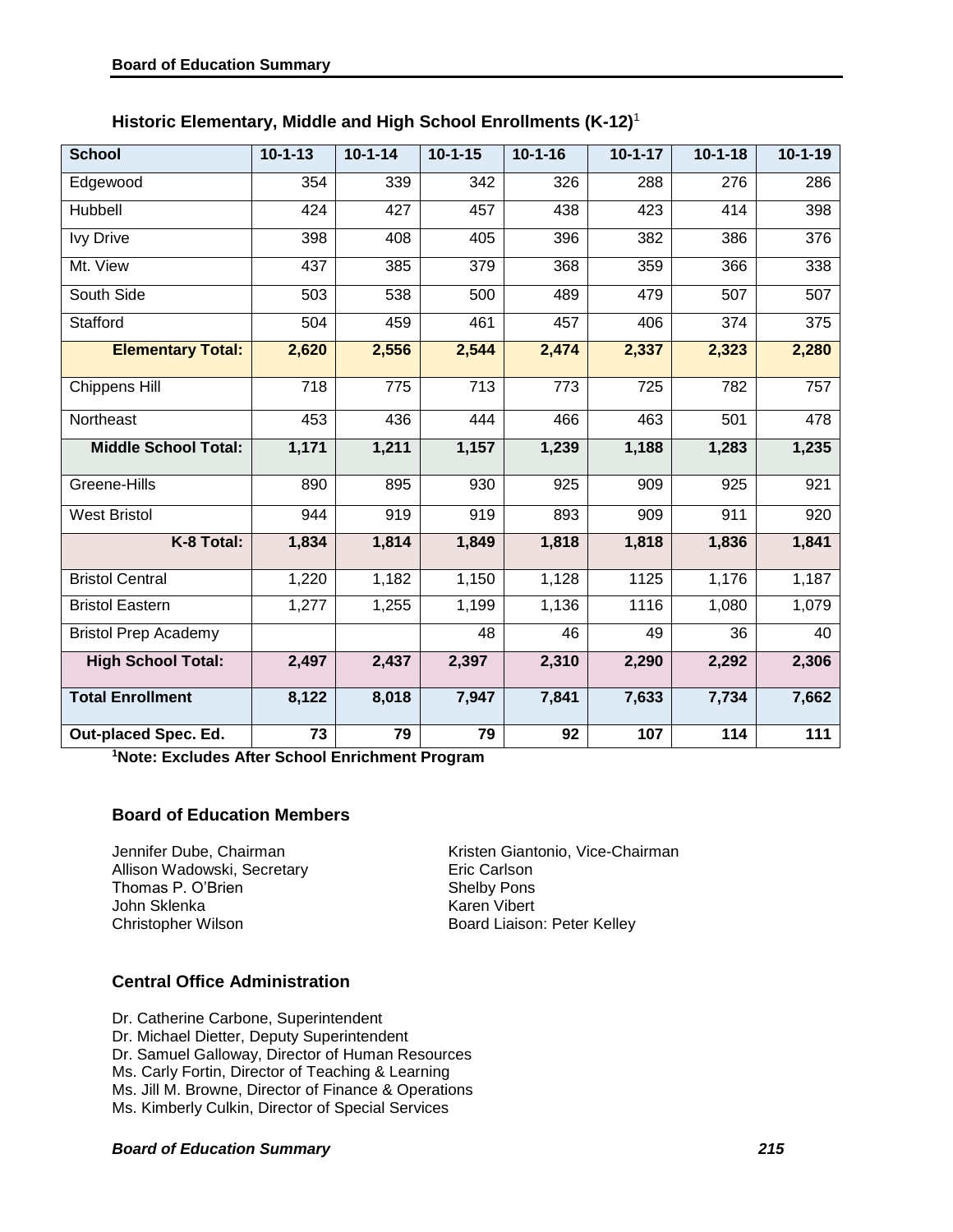| Historic Elementary, Middle and High School Enrollments (K-12) <sup>1</sup> |  |  |  |  |  |  |
|-----------------------------------------------------------------------------|--|--|--|--|--|--|
|-----------------------------------------------------------------------------|--|--|--|--|--|--|

| <b>School</b>               | $10 - 1 - 13$ | $10 - 1 - 14$ | $10 - 1 - 15$ | $10 - 1 - 16$ | $10 - 1 - 17$ | $10 - 1 - 18$ | $10 - 1 - 19$ |
|-----------------------------|---------------|---------------|---------------|---------------|---------------|---------------|---------------|
| Edgewood                    | 354           | 339           | 342           | 326           | 288           | 276           | 286           |
| Hubbell                     | 424           | 427           | 457           | 438           | 423           | 414           | 398           |
| <b>Ivy Drive</b>            | 398           | 408           | 405           | 396           | 382           | 386           | 376           |
| Mt. View                    | 437           | 385           | 379           | 368           | 359           | 366           | 338           |
| South Side                  | 503           | 538           | 500           | 489           | 479           | 507           | 507           |
| Stafford                    | 504           | 459           | 461           | 457           | 406           | 374           | 375           |
| <b>Elementary Total:</b>    | 2,620         | 2,556         | 2,544         | 2,474         | 2,337         | 2,323         | 2,280         |
| Chippens Hill               | 718           | 775           | 713           | 773           | 725           | 782           | 757           |
| Northeast                   | 453           | 436           | 444           | 466           | 463           | 501           | 478           |
| <b>Middle School Total:</b> | 1,171         | 1,211         | 1,157         | 1,239         | 1,188         | 1,283         | 1,235         |
| Greene-Hills                | 890           | 895           | 930           | 925           | 909           | 925           | 921           |
| <b>West Bristol</b>         | 944           | 919           | 919           | 893           | 909           | 911           | 920           |
| K-8 Total:                  | 1,834         | 1,814         | 1,849         | 1,818         | 1,818         | 1,836         | 1,841         |
| <b>Bristol Central</b>      | 1,220         | 1,182         | 1,150         | 1,128         | 1125          | 1,176         | 1,187         |
| <b>Bristol Eastern</b>      | 1,277         | 1,255         | 1,199         | 1,136         | 1116          | 1,080         | 1,079         |
| <b>Bristol Prep Academy</b> |               |               | 48            | 46            | 49            | 36            | 40            |
| <b>High School Total:</b>   | 2,497         | 2,437         | 2,397         | 2,310         | 2,290         | 2,292         | 2,306         |
| <b>Total Enrollment</b>     | 8,122         | 8,018         | 7,947         | 7,841         | 7,633         | 7,734         | 7,662         |
| Out-placed Spec. Ed.        | 73            | 79            | 79            | 92            | 107           | 114           | 111           |

**<sup>1</sup>Note: Excludes After School Enrichment Program**

## **Board of Education Members**

Allison Wadowski, Secretary Thomas P. O'Brien Shelby Pons<br>
John Sklenka<br>
Shelby Pons<br>
Karen Vibert John Sklenka<br>Christopher Wilson

Jennifer Dube, Chairman<br>
Allison Wadowski, Secretary<br>
Eric Carlson Board Liaison: Peter Kelley

## **Central Office Administration**

Dr. Catherine Carbone, Superintendent Dr. Michael Dietter, Deputy Superintendent Dr. Samuel Galloway, Director of Human Resources Ms. Carly Fortin, Director of Teaching & Learning Ms. Jill M. Browne, Director of Finance & Operations Ms. Kimberly Culkin, Director of Special Services

#### *Board of Education Summary 215*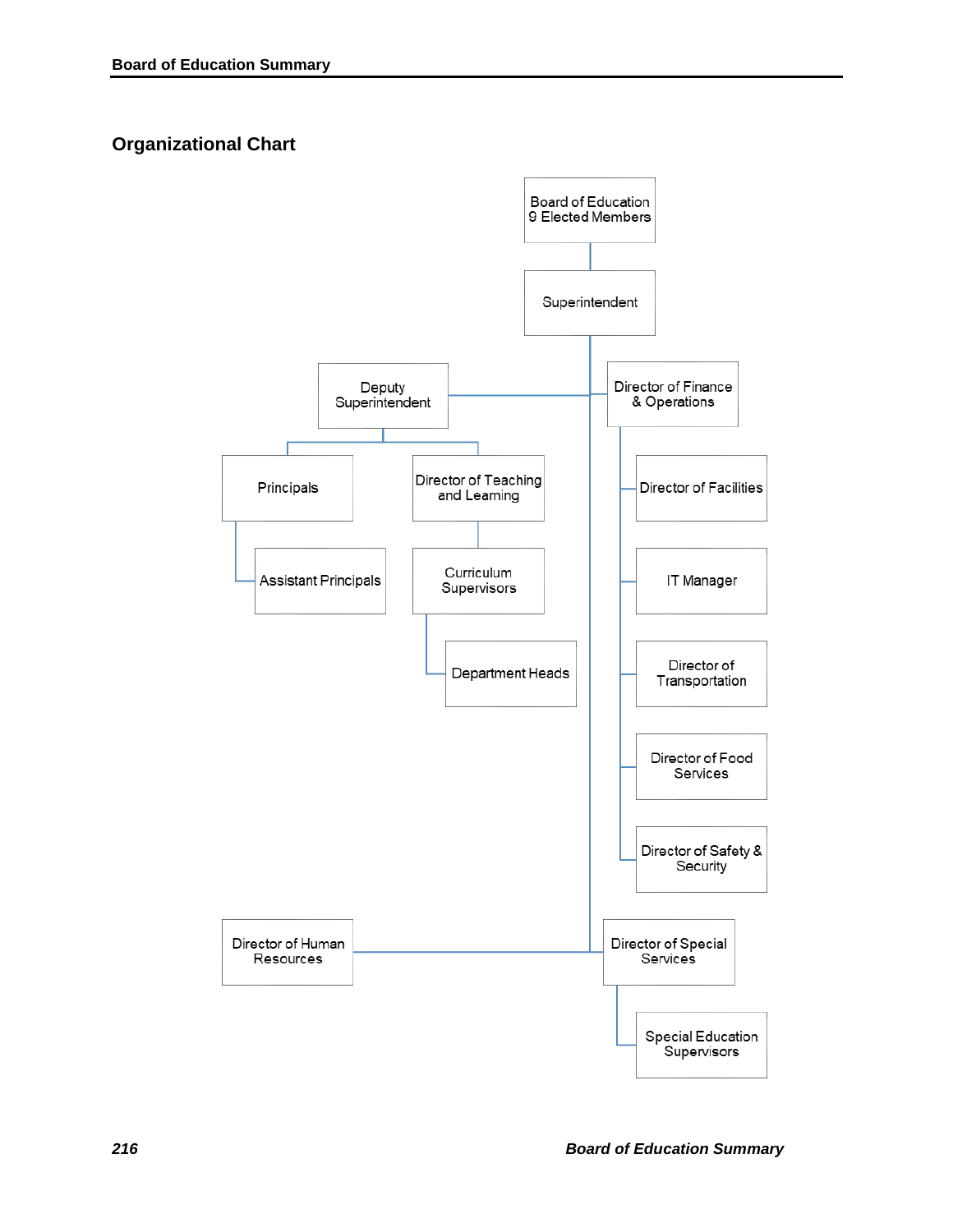# **Organizational Chart**

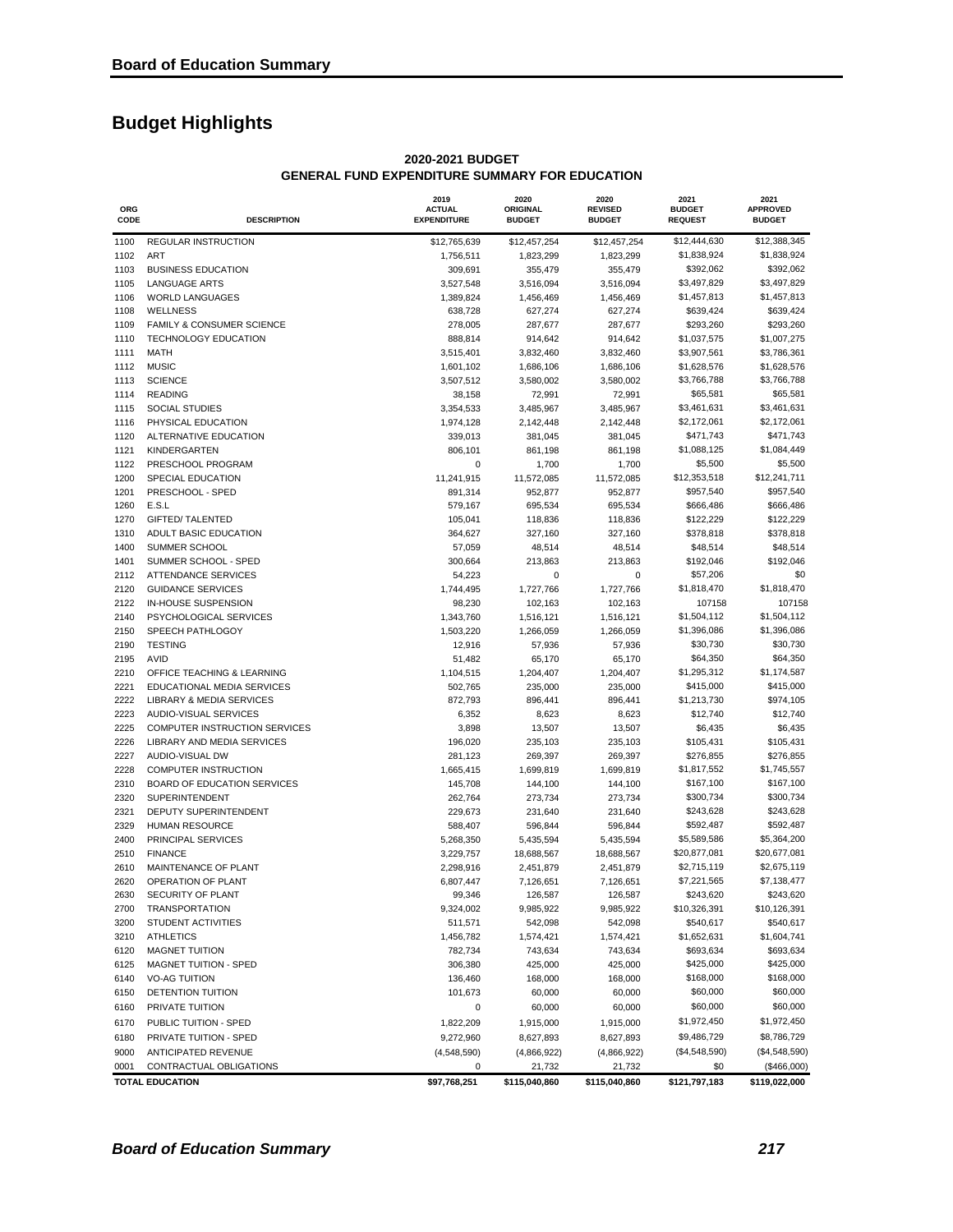# **Budget Highlights**

| ORG<br>CODE  | <b>DESCRIPTION</b>                                     | 2019<br><b>ACTUAL</b><br><b>EXPENDITURE</b> | 2020<br><b>ORIGINAL</b><br><b>BUDGET</b> | 2020<br><b>REVISED</b><br><b>BUDGET</b> | 2021<br><b>BUDGET</b><br><b>REQUEST</b> | 2021<br><b>APPROVED</b><br><b>BUDGET</b> |
|--------------|--------------------------------------------------------|---------------------------------------------|------------------------------------------|-----------------------------------------|-----------------------------------------|------------------------------------------|
| 1100         | REGULAR INSTRUCTION                                    | \$12,765,639                                | \$12,457,254                             | \$12,457,254                            | \$12,444,630                            | \$12,388,345                             |
| 1102         | <b>ART</b>                                             | 1,756,511                                   | 1,823,299                                | 1,823,299                               | \$1,838,924                             | \$1,838,924                              |
| 1103         | <b>BUSINESS EDUCATION</b>                              | 309,691                                     | 355,479                                  | 355,479                                 | \$392,062                               | \$392,062                                |
| 1105         | <b>LANGUAGE ARTS</b>                                   | 3,527,548                                   | 3,516,094                                | 3,516,094                               | \$3,497,829                             | \$3,497,829                              |
| 1106         | <b>WORLD LANGUAGES</b>                                 | 1,389,824                                   | 1,456,469                                | 1,456,469                               | \$1,457,813                             | \$1,457,813                              |
| 1108         | <b>WELLNESS</b>                                        | 638,728                                     | 627,274                                  | 627,274                                 | \$639,424                               | \$639,424                                |
| 1109         | <b>FAMILY &amp; CONSUMER SCIENCE</b>                   | 278,005                                     | 287,677                                  | 287,677                                 | \$293,260                               | \$293,260                                |
| 1110<br>1111 | <b>TECHNOLOGY EDUCATION</b><br><b>MATH</b>             | 888,814                                     | 914,642                                  | 914,642                                 | \$1,037,575<br>\$3,907,561              | \$1,007,275<br>\$3,786,361               |
| 1112         | <b>MUSIC</b>                                           | 3,515,401<br>1,601,102                      | 3,832,460<br>1,686,106                   | 3,832,460<br>1,686,106                  | \$1,628,576                             | \$1,628,576                              |
| 1113         | <b>SCIENCE</b>                                         | 3,507,512                                   | 3,580,002                                | 3,580,002                               | \$3,766,788                             | \$3,766,788                              |
| 1114         | <b>READING</b>                                         | 38,158                                      | 72,991                                   | 72,991                                  | \$65,581                                | \$65,581                                 |
| 1115         | <b>SOCIAL STUDIES</b>                                  | 3,354,533                                   | 3,485,967                                | 3,485,967                               | \$3,461,631                             | \$3,461,631                              |
| 1116         | PHYSICAL EDUCATION                                     | 1,974,128                                   | 2,142,448                                | 2,142,448                               | \$2,172,061                             | \$2,172,061                              |
| 1120         | ALTERNATIVE EDUCATION                                  | 339,013                                     | 381,045                                  | 381,045                                 | \$471,743                               | \$471,743                                |
| 1121         | KINDERGARTEN                                           | 806,101                                     | 861,198                                  | 861,198                                 | \$1,088,125                             | \$1,084,449                              |
| 1122         | PRESCHOOL PROGRAM                                      | 0                                           | 1,700                                    | 1,700                                   | \$5,500                                 | \$5,500                                  |
| 1200         | SPECIAL EDUCATION                                      | 11,241,915                                  | 11,572,085                               | 11,572,085                              | \$12,353,518                            | \$12,241,711                             |
| 1201         | PRESCHOOL - SPED                                       | 891,314                                     | 952,877                                  | 952,877                                 | \$957,540                               | \$957,540                                |
| 1260         | E.S.L                                                  | 579,167                                     | 695,534                                  | 695,534                                 | \$666,486                               | \$666,486                                |
| 1270         | <b>GIFTED/ TALENTED</b>                                | 105,041                                     | 118,836                                  | 118,836                                 | \$122,229                               | \$122,229                                |
| 1310         | ADULT BASIC EDUCATION                                  | 364,627                                     | 327,160                                  | 327,160                                 | \$378,818                               | \$378,818                                |
| 1400         | SUMMER SCHOOL                                          | 57,059                                      | 48,514                                   | 48,514                                  | \$48,514                                | \$48,514                                 |
| 1401         | SUMMER SCHOOL - SPED                                   | 300,664                                     | 213,863                                  | 213,863                                 | \$192,046                               | \$192,046                                |
| 2112         | <b>ATTENDANCE SERVICES</b>                             | 54,223                                      | 0                                        | 0                                       | \$57,206                                | \$0                                      |
| 2120<br>2122 | <b>GUIDANCE SERVICES</b><br><b>IN-HOUSE SUSPENSION</b> | 1,744,495                                   | 1,727,766                                | 1,727,766                               | \$1,818,470<br>107158                   | \$1,818,470<br>107158                    |
| 2140         | PSYCHOLOGICAL SERVICES                                 | 98,230<br>1,343,760                         | 102,163<br>1,516,121                     | 102,163<br>1,516,121                    | \$1,504,112                             | \$1,504,112                              |
| 2150         | SPEECH PATHLOGOY                                       | 1,503,220                                   | 1,266,059                                | 1,266,059                               | \$1,396,086                             | \$1,396,086                              |
| 2190         | <b>TESTING</b>                                         | 12,916                                      | 57,936                                   | 57,936                                  | \$30,730                                | \$30,730                                 |
| 2195         | AVID                                                   | 51,482                                      | 65,170                                   | 65,170                                  | \$64,350                                | \$64,350                                 |
| 2210         | OFFICE TEACHING & LEARNING                             | 1,104,515                                   | 1,204,407                                | 1,204,407                               | \$1,295,312                             | \$1,174,587                              |
| 2221         | EDUCATIONAL MEDIA SERVICES                             | 502,765                                     | 235,000                                  | 235,000                                 | \$415,000                               | \$415,000                                |
| 2222         | LIBRARY & MEDIA SERVICES                               | 872,793                                     | 896,441                                  | 896,441                                 | \$1,213,730                             | \$974,105                                |
| 2223         | AUDIO-VISUAL SERVICES                                  | 6,352                                       | 8,623                                    | 8,623                                   | \$12,740                                | \$12,740                                 |
| 2225         | COMPUTER INSTRUCTION SERVICES                          | 3,898                                       | 13,507                                   | 13,507                                  | \$6,435                                 | \$6,435                                  |
| 2226         | LIBRARY AND MEDIA SERVICES                             | 196,020                                     | 235,103                                  | 235,103                                 | \$105,431                               | \$105,431                                |
| 2227         | AUDIO-VISUAL DW                                        | 281,123                                     | 269,397                                  | 269,397                                 | \$276,855                               | \$276,855                                |
| 2228         | <b>COMPUTER INSTRUCTION</b>                            | 1,665,415                                   | 1,699,819                                | 1,699,819                               | \$1,817,552                             | \$1,745,557                              |
| 2310         | BOARD OF EDUCATION SERVICES                            | 145,708                                     | 144,100                                  | 144,100                                 | \$167,100                               | \$167,100                                |
| 2320         | SUPERINTENDENT                                         | 262,764                                     | 273,734                                  | 273,734                                 | \$300,734                               | \$300,734                                |
| 2321         | DEPUTY SUPERINTENDENT                                  | 229,673                                     | 231,640                                  | 231,640                                 | \$243,628                               | \$243,628                                |
| 2329         | <b>HUMAN RESOURCE</b>                                  | 588,407                                     | 596,844                                  | 596,844                                 | \$592,487                               | \$592,487                                |
| 2400         | PRINCIPAL SERVICES                                     | 5,268,350                                   | 5,435,594                                | 5,435,594                               | \$5,589,586                             | \$5,364,200                              |
| 2510         | <b>FINANCE</b><br>MAINTENANCE OF PLANT                 | 3,229,757                                   | 18,688,567                               | 18,688,567                              | \$20,877,081                            | \$20,677,081<br>\$2,675,119              |
| 2610         | OPERATION OF PLANT                                     | 2,298,916<br>6,807,447                      | 2,451,879                                | 2,451,879                               | \$2,715,119<br>\$7,221,565              | \$7,138,477                              |
| 2620<br>2630 | SECURITY OF PLANT                                      | 99,346                                      | 7,126,651<br>126,587                     | 7,126,651<br>126,587                    | \$243,620                               | \$243,620                                |
| 2700         | <b>TRANSPORTATION</b>                                  | 9,324,002                                   | 9,985,922                                | 9,985,922                               | \$10,326,391                            | \$10,126,391                             |
| 3200         | STUDENT ACTIVITIES                                     | 511,571                                     | 542,098                                  | 542,098                                 | \$540,617                               | \$540,617                                |
| 3210         | <b>ATHLETICS</b>                                       | 1,456,782                                   | 1,574,421                                | 1,574,421                               | \$1,652,631                             | \$1,604,741                              |
| 6120         | <b>MAGNET TUITION</b>                                  | 782,734                                     | 743,634                                  | 743,634                                 | \$693,634                               | \$693,634                                |
| 6125         | <b>MAGNET TUITION - SPED</b>                           | 306,380                                     | 425,000                                  | 425,000                                 | \$425,000                               | \$425,000                                |
| 6140         | <b>VO-AG TUITION</b>                                   | 136,460                                     | 168,000                                  | 168,000                                 | \$168,000                               | \$168,000                                |
| 6150         | DETENTION TUITION                                      | 101,673                                     | 60,000                                   | 60,000                                  | \$60,000                                | \$60,000                                 |
| 6160         | PRIVATE TUITION                                        | 0                                           | 60,000                                   | 60,000                                  | \$60,000                                | \$60,000                                 |
| 6170         | PUBLIC TUITION - SPED                                  | 1,822,209                                   | 1,915,000                                | 1,915,000                               | \$1,972,450                             | \$1,972,450                              |
| 6180         | PRIVATE TUITION - SPED                                 | 9,272,960                                   | 8,627,893                                | 8,627,893                               | \$9,486,729                             | \$8,786,729                              |
| 9000         | ANTICIPATED REVENUE                                    | (4,548,590)                                 | (4,866,922)                              | (4,866,922)                             | (\$4,548,590)                           | (\$4,548,590)                            |
| 0001         | CONTRACTUAL OBLIGATIONS                                | 0                                           | 21,732                                   | 21,732                                  | \$0                                     | (\$466,000)                              |
|              | <b>TOTAL EDUCATION</b>                                 | \$97,768,251                                | \$115,040,860                            | \$115,040,860                           | \$121,797,183                           | \$119,022,000                            |

#### **2020-2021 BUDGET GENERAL FUND EXPENDITURE SUMMARY FOR EDUCATION**